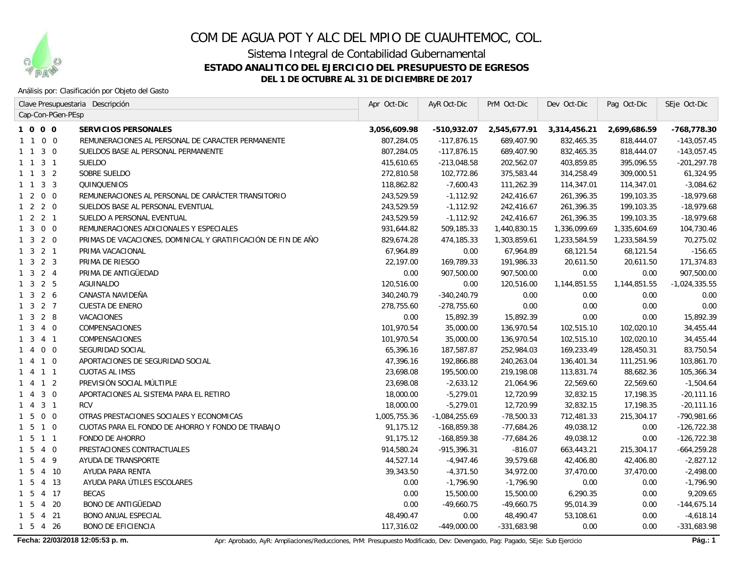

Sistema Integral de Contabilidad Gubernamental

### **ESTADO ANALITICO DEL EJERCICIO DEL PRESUPUESTO DE EGRESOS**

**DEL 1 DE OCTUBRE AL 31 DE DICIEMBRE DE 2017**

### Análisis por: Clasificación por Objeto del Gasto

|                             | Clave Presupuestaria Descripción                              | Apr Oct-Dic  | AyR Oct-Dic     | PrM Oct-Dic   | Dev Oct-Dic  | Pag Oct-Dic  | SEje Oct-Dic    |
|-----------------------------|---------------------------------------------------------------|--------------|-----------------|---------------|--------------|--------------|-----------------|
| Cap-Con-PGen-PEsp           |                                                               |              |                 |               |              |              |                 |
| 1000                        | <b>SERVICIOS PERSONALES</b>                                   | 3,056,609.98 | $-510,932.07$   | 2,545,677.91  | 3,314,456.21 | 2,699,686.59 | -768,778.30     |
| $0\quad 0$<br>$1\quad1$     | REMUNERACIONES AL PERSONAL DE CARACTER PERMANENTE             | 807,284.05   | $-117,876.15$   | 689,407.90    | 832,465.35   | 818,444.07   | $-143,057.45$   |
| $3\quad0$<br>$1 \quad 1$    | SUELDOS BASE AL PERSONAL PERMANENTE                           | 807,284.05   | $-117,876.15$   | 689,407.90    | 832,465.35   | 818,444.07   | $-143,057.45$   |
| $1 \t1 \t3 \t1$             | <b>SUELDO</b>                                                 | 415,610.65   | $-213,048.58$   | 202,562.07    | 403,859.85   | 395,096.55   | -201,297.78     |
| 1 1 3 2                     | SOBRE SUELDO                                                  | 272,810.58   | 102,772.86      | 375,583.44    | 314,258.49   | 309,000.51   | 61,324.95       |
| 1 1 3 3                     | QUINQUENIOS                                                   | 118,862.82   | $-7,600.43$     | 111,262.39    | 114,347.01   | 114,347.01   | $-3,084.62$     |
| $1 2 0 0$                   | REMUNERACIONES AL PERSONAL DE CARÁCTER TRANSITORIO            | 243,529.59   | $-1,112.92$     | 242,416.67    | 261,396.35   | 199,103.35   | $-18,979.68$    |
| $1 \quad 2 \quad 2 \quad 0$ | SUELDOS BASE AL PERSONAL EVENTUAL                             | 243,529.59   | $-1,112.92$     | 242,416.67    | 261,396.35   | 199,103.35   | $-18,979.68$    |
| $1 \quad 2 \quad 2 \quad 1$ | SUELDO A PERSONAL EVENTUAL                                    | 243,529.59   | $-1, 112.92$    | 242,416.67    | 261,396.35   | 199, 103.35  | $-18,979.68$    |
| $1300$                      | REMUNERACIONES ADICIONALES Y ESPECIALES                       | 931,644.82   | 509,185.33      | 1,440,830.15  | 1,336,099.69 | 1,335,604.69 | 104,730.46      |
| $1 \quad 3 \quad 2 \quad 0$ | PRIMAS DE VACACIONES, DOMINICAL Y GRATIFICACIÓN DE FIN DE AÑO | 829,674.28   | 474,185.33      | 1,303,859.61  | 1,233,584.59 | 1,233,584.59 | 70,275.02       |
| $1 \t3 \t2 \t1$             | PRIMA VACACIONAL                                              | 67,964.89    | 0.00            | 67,964.89     | 68,121.54    | 68,121.54    | $-156.65$       |
| $1 \quad 3 \quad 2 \quad 3$ | PRIMA DE RIESGO                                               | 22,197.00    | 169,789.33      | 191,986.33    | 20,611.50    | 20,611.50    | 171,374.83      |
| $1 \quad 3 \quad 2 \quad 4$ | PRIMA DE ANTIGÜEDAD                                           | 0.00         | 907,500.00      | 907,500.00    | 0.00         | 0.00         | 907,500.00      |
| $1 \quad 3 \quad 2 \quad 5$ | <b>AGUINALDO</b>                                              | 120,516.00   | 0.00            | 120,516.00    | 1,144,851.55 | 1,144,851.55 | $-1,024,335.55$ |
| $1 \quad 3 \quad 2 \quad 6$ | CANASTA NAVIDEÑA                                              | 340,240.79   | $-340,240.79$   | 0.00          | 0.00         | 0.00         | 0.00            |
| $1 \quad 3 \quad 2 \quad 7$ | <b>CUESTA DE ENERO</b>                                        | 278,755.60   | $-278,755.60$   | 0.00          | 0.00         | 0.00         | 0.00            |
| $1 \quad 3 \quad 2 \quad 8$ | VACACIONES                                                    | 0.00         | 15,892.39       | 15,892.39     | 0.00         | 0.00         | 15,892.39       |
| $1 \t3 \t4 \t0$             | COMPENSACIONES                                                | 101,970.54   | 35,000.00       | 136,970.54    | 102,515.10   | 102,020.10   | 34,455.44       |
| $1 \t3 \t4 \t1$             | COMPENSACIONES                                                | 101,970.54   | 35,000.00       | 136,970.54    | 102,515.10   | 102,020.10   | 34,455.44       |
| $0\quad 0$<br>1 4           | SEGURIDAD SOCIAL                                              | 65,396.16    | 187,587.87      | 252,984.03    | 169,233.49   | 128,450.31   | 83,750.54       |
| 1 4 1 0                     | APORTACIONES DE SEGURIDAD SOCIAL                              | 47,396.16    | 192,866.88      | 240,263.04    | 136,401.34   | 111,251.96   | 103,861.70      |
| 1 4 1 1                     | <b>CUOTAS AL IMSS</b>                                         | 23,698.08    | 195,500.00      | 219,198.08    | 113,831.74   | 88,682.36    | 105,366.34      |
| 1412                        | PREVISIÓN SOCIAL MÚLTIPLE                                     | 23,698.08    | $-2,633.12$     | 21,064.96     | 22,569.60    | 22,569.60    | $-1,504.64$     |
| 1430                        | APORTACIONES AL SISTEMA PARA EL RETIRO                        | 18,000.00    | $-5,279.01$     | 12,720.99     | 32,832.15    | 17,198.35    | $-20,111.16$    |
| 1431                        | <b>RCV</b>                                                    | 18,000.00    | $-5,279.01$     | 12,720.99     | 32,832.15    | 17,198.35    | $-20, 111.16$   |
| $1 5 0 0$                   | OTRAS PRESTACIONES SOCIALES Y ECONOMICAS                      | 1,005,755.36 | $-1,084,255.69$ | $-78,500.33$  | 712,481.33   | 215,304.17   | -790,981.66     |
| 1 5 1 0                     | CUOTAS PARA EL FONDO DE AHORRO Y FONDO DE TRABAJO             | 91,175.12    | $-168,859.38$   | $-77,684.26$  | 49,038.12    | 0.00         | $-126,722.38$   |
| 1 5 1 1                     | <b>FONDO DE AHORRO</b>                                        | 91,175.12    | $-168,859.38$   | $-77,684.26$  | 49,038.12    | 0.00         | $-126, 722.38$  |
| $1\ 5\ 4\ 0$                | PRESTACIONES CONTRACTUALES                                    | 914,580.24   | $-915,396.31$   | $-816.07$     | 663,443.21   | 215,304.17   | $-664, 259.28$  |
| 1 5 4 9                     | AYUDA DE TRANSPORTE                                           | 44,527.14    | $-4,947.46$     | 39,579.68     | 42,406.80    | 42,406.80    | $-2,827.12$     |
| $1\quad5$<br>4 10           | AYUDA PARA RENTA                                              | 39,343.50    | $-4,371.50$     | 34,972.00     | 37,470.00    | 37,470.00    | $-2,498.00$     |
| $1\quad5$<br>4 13           | AYUDA PARA ÚTILES ESCOLARES                                   | 0.00         | $-1,796.90$     | $-1,796.90$   | 0.00         | 0.00         | $-1,796.90$     |
| $1\quad5$<br>4 17           | <b>BECAS</b>                                                  | 0.00         | 15,500.00       | 15,500.00     | 6,290.35     | 0.00         | 9,209.65        |
| 4 20<br>$1\quad5$           | <b>BONO DE ANTIGÜEDAD</b>                                     | 0.00         | $-49,660.75$    | $-49,660.75$  | 95,014.39    | 0.00         | $-144,675.14$   |
| 1 5 4 21                    | <b>BONO ANUAL ESPECIAL</b>                                    | 48,490.47    | 0.00            | 48,490.47     | 53,108.61    | 0.00         | $-4,618.14$     |
| 1 5 4 26                    | <b>BONO DE EFICIENCIA</b>                                     | 117,316.02   | $-449,000.00$   | $-331,683.98$ | 0.00         | 0.00         | $-331,683.98$   |
|                             |                                                               |              |                 |               |              |              |                 |

Fecha: 22/03/2018 12:05:53 p. m. <br> **Pág.: 1** Apr: Aprobado, AyR: Ampliaciones/Reducciones, PrM: Presupuesto Modificado, Dev: Devengado, Pag: Pagado, SEje: Sub Ejercicio **Pág.: 1**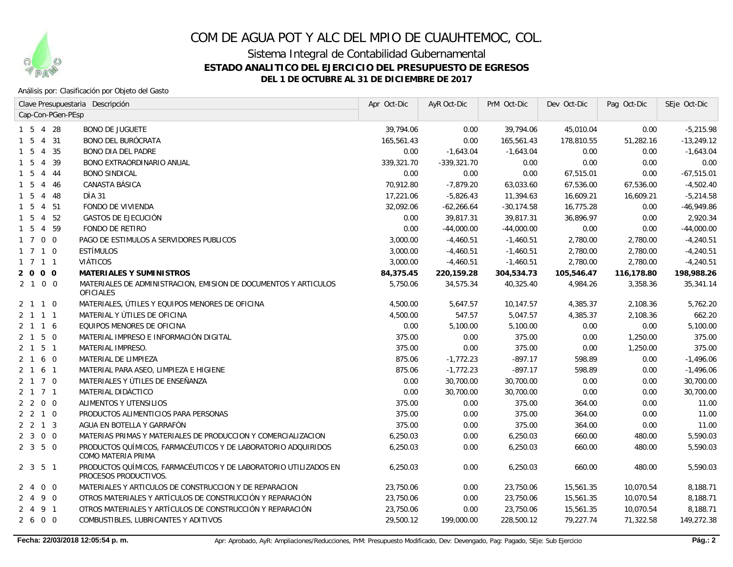

Sistema Integral de Contabilidad Gubernamental

### **ESTADO ANALITICO DEL EJERCICIO DEL PRESUPUESTO DE EGRESOS**

**DEL 1 DE OCTUBRE AL 31 DE DICIEMBRE DE 2017**

#### Análisis por: Clasificación por Objeto del Gasto

|                                             | Clave Presupuestaria Descripción                                                          | Apr Oct-Dic | AyR Oct-Dic   | PrM Oct-Dic   | Dev Oct-Dic | Pag Oct-Dic | SEje Oct-Dic |
|---------------------------------------------|-------------------------------------------------------------------------------------------|-------------|---------------|---------------|-------------|-------------|--------------|
| Cap-Con-PGen-PEsp                           |                                                                                           |             |               |               |             |             |              |
| 1 5 4 28                                    | <b>BONO DE JUGUETE</b>                                                                    | 39,794.06   | 0.00          | 39,794.06     | 45,010.04   | 0.00        | $-5,215.98$  |
| 4 31<br>$1\quad5$                           | <b>BONO DEL BURÓCRATA</b>                                                                 | 165,561.43  | 0.00          | 165,561.43    | 178,810.55  | 51,282.16   | $-13,249.12$ |
| $1\quad5$<br>4 35                           | <b>BONO DIA DEL PADRE</b>                                                                 | 0.00        | $-1,643.04$   | $-1,643.04$   | 0.00        | 0.00        | $-1,643.04$  |
| 5<br>- 39<br>$\overline{4}$<br>$\mathbf{1}$ | <b>BONO EXTRAORDINARIO ANUAL</b>                                                          | 339,321.70  | $-339,321.70$ | 0.00          | 0.00        | 0.00        | 0.00         |
| $1\quad5$<br>$\overline{4}$<br>- 44         | <b>BONO SINDICAL</b>                                                                      | 0.00        | 0.00          | 0.00          | 67,515.01   | 0.00        | $-67,515.01$ |
| - 5<br>$\overline{4}$<br>-46                | CANASTA BÁSICA                                                                            | 70,912.80   | $-7,879.20$   | 63,033.60     | 67,536.00   | 67,536.00   | $-4,502.40$  |
| - 48<br>- 5<br>4                            | DÌA 31                                                                                    | 17,221.06   | $-5,826.43$   | 11,394.63     | 16,609.21   | 16,609.21   | $-5,214.58$  |
| 5<br>4 51                                   | FONDO DE VIVIENDA                                                                         | 32,092.06   | $-62,266.64$  | $-30, 174.58$ | 16,775.28   | 0.00        | $-46,949.86$ |
| 4 52<br>5                                   | <b>GASTOS DE EJECUCIÓN</b>                                                                | 0.00        | 39,817.31     | 39,817.31     | 36,896.97   | 0.00        | 2,920.34     |
| 5<br>4 59                                   | <b>FONDO DE RETIRO</b>                                                                    | 0.00        | $-44,000.00$  | $-44,000.00$  | 0.00        | 0.00        | $-44,000.00$ |
| 1700                                        | PAGO DE ESTIMULOS A SERVIDORES PUBLICOS                                                   | 3,000.00    | $-4,460.51$   | $-1,460.51$   | 2,780.00    | 2,780.00    | $-4,240.51$  |
| $1 \t7 \t1 \t0$                             | <b>ESTÍMULOS</b>                                                                          | 3,000.00    | $-4,460.51$   | $-1,460.51$   | 2,780.00    | 2,780.00    | $-4,240.51$  |
| 1 7 1 1                                     | VIÁTICOS                                                                                  | 3,000.00    | $-4,460.51$   | $-1,460.51$   | 2,780.00    | 2,780.00    | $-4,240.51$  |
| 2 0 0 0                                     | <b>MATERIALES Y SUMINISTROS</b>                                                           | 84,375.45   | 220,159.28    | 304,534.73    | 105,546.47  | 116,178.80  | 198,988.26   |
| 2 1 0 0                                     | MATERIALES DE ADMINISTRACION, EMISION DE DOCUMENTOS Y ARTICULOS<br><b>OFICIALES</b>       | 5,750.06    | 34,575.34     | 40,325.40     | 4,984.26    | 3,358.36    | 35,341.14    |
| 2 1 1 0                                     | MATERIALES, ÚTILES Y EQUIPOS MENORES DE OFICINA                                           | 4,500.00    | 5,647.57      | 10,147.57     | 4,385.37    | 2,108.36    | 5,762.20     |
| 2 1 1 1                                     | MATERIAL Y ÚTILES DE OFICINA                                                              | 4,500.00    | 547.57        | 5,047.57      | 4,385.37    | 2,108.36    | 662.20       |
| 2 1 1 6                                     | EQUIPOS MENORES DE OFICINA                                                                | 0.00        | 5,100.00      | 5,100.00      | 0.00        | 0.00        | 5,100.00     |
| $2 \quad 1 \quad 5 \quad 0$                 | MATERIAL IMPRESO E INFORMACIÓN DIGITAL                                                    | 375.00      | 0.00          | 375.00        | 0.00        | 1,250.00    | 375.00       |
| $2$ 1 5 1                                   | <b>MATERIAL IMPRESO.</b>                                                                  | 375.00      | 0.00          | 375.00        | 0.00        | 1,250.00    | 375.00       |
| 2 1 6 0                                     | MATERIAL DE LIMPIEZA                                                                      | 875.06      | $-1,772.23$   | $-897.17$     | 598.89      | 0.00        | $-1,496.06$  |
| 2 1 6 1                                     | MATERIAL PARA ASEO, LIMPIEZA E HIGIENE                                                    | 875.06      | $-1,772.23$   | $-897.17$     | 598.89      | 0.00        | $-1,496.06$  |
| 2 1 7 0                                     | MATERIALES Y ÚTILES DE ENSEÑANZA                                                          | 0.00        | 30,700.00     | 30,700.00     | 0.00        | 0.00        | 30,700.00    |
| 2 1 7 1                                     | MATERIAL DIDÁCTICO                                                                        | 0.00        | 30,700.00     | 30,700.00     | 0.00        | 0.00        | 30,700.00    |
| $2\quad 2\quad 0\quad 0$                    | ALIMENTOS Y UTENSILIOS                                                                    | 375.00      | 0.00          | 375.00        | 364.00      | 0.00        | 11.00        |
| 2, 2, 1, 0                                  | PRODUCTOS ALIMENTICIOS PARA PERSONAS                                                      | 375.00      | 0.00          | 375.00        | 364.00      | 0.00        | 11.00        |
| $2 \t2 \t1 \t3$                             | AGUA EN BOTELLA Y GARRAFÓN                                                                | 375.00      | 0.00          | 375.00        | 364.00      | 0.00        | 11.00        |
| $2300$                                      | MATERIAS PRIMAS Y MATERIALES DE PRODUCCION Y COMERCIALIZACION                             | 6,250.03    | 0.00          | 6,250.03      | 660.00      | 480.00      | 5,590.03     |
| 2350                                        | PRODUCTOS QUÍMICOS, FARMACÉUTICOS Y DE LABORATORIO ADQUIRIDOS<br>COMO MATERIA PRIMA       | 6,250.03    | 0.00          | 6,250.03      | 660.00      | 480.00      | 5,590.03     |
| 2 3 5 1                                     | PRODUCTOS QUÍMICOS, FARMACÉUTICOS Y DE LABORATORIO UTILIZADOS EN<br>PROCESOS PRODUCTIVOS. | 6,250.03    | 0.00          | 6,250.03      | 660.00      | 480.00      | 5,590.03     |
| $0\quad 0$<br>$2 \quad 4$                   | MATERIALES Y ARTICULOS DE CONSTRUCCION Y DE REPARACION                                    | 23,750.06   | 0.00          | 23,750.06     | 15,561.35   | 10,070.54   | 8,188.71     |
| 2490                                        | OTROS MATERIALES Y ARTÍCULOS DE CONSTRUCCIÓN Y REPARACIÓN                                 | 23,750.06   | 0.00          | 23,750.06     | 15,561.35   | 10,070.54   | 8,188.71     |
| 2491                                        | OTROS MATERIALES Y ARTÍCULOS DE CONSTRUCCIÓN Y REPARACIÓN                                 | 23,750.06   | 0.00          | 23,750.06     | 15,561.35   | 10,070.54   | 8,188.71     |
| 2 6 0 0                                     | COMBUSTIBLES, LUBRICANTES Y ADITIVOS                                                      | 29,500.12   | 199,000.00    | 228,500.12    | 79,227.74   | 71,322.58   | 149,272.38   |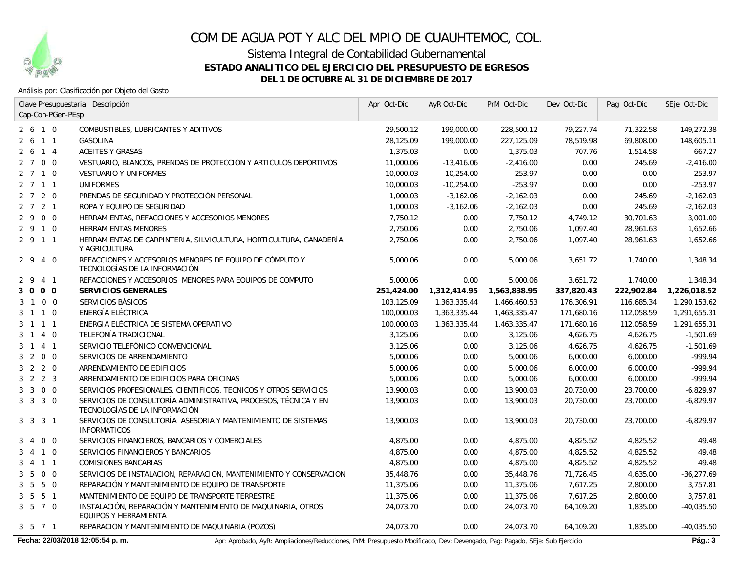

Sistema Integral de Contabilidad Gubernamental

**ESTADO ANALITICO DEL EJERCICIO DEL PRESUPUESTO DE EGRESOS**

**DEL 1 DE OCTUBRE AL 31 DE DICIEMBRE DE 2017**

### Análisis por: Clasificación por Objeto del Gasto

|                                   | Clave Presupuestaria Descripción                                                                 | Apr Oct-Dic | AyR Oct-Dic  | PrM Oct-Dic  | Dev Oct-Dic | Pag Oct-Dic | SEje Oct-Dic |
|-----------------------------------|--------------------------------------------------------------------------------------------------|-------------|--------------|--------------|-------------|-------------|--------------|
| Cap-Con-PGen-PEsp                 |                                                                                                  |             |              |              |             |             |              |
| 2610                              | COMBUSTIBLES, LUBRICANTES Y ADITIVOS                                                             | 29,500.12   | 199,000.00   | 228,500.12   | 79,227.74   | 71,322.58   | 149,272.38   |
| 2 6 1 1                           | <b>GASOLINA</b>                                                                                  | 28,125.09   | 199,000.00   | 227,125.09   | 78,519.98   | 69,808.00   | 148,605.11   |
| $2\ 6\ 1\ 4$                      | <b>ACEITES Y GRASAS</b>                                                                          | 1,375.03    | 0.00         | 1,375.03     | 707.76      | 1,514.58    | 667.27       |
| 2 7 0 0                           | VESTUARIO, BLANCOS, PRENDAS DE PROTECCION Y ARTICULOS DEPORTIVOS                                 | 11,000.06   | $-13,416.06$ | $-2,416.00$  | 0.00        | 245.69      | $-2,416.00$  |
| 2710                              | <b>VESTUARIO Y UNIFORMES</b>                                                                     | 10,000.03   | $-10,254.00$ | $-253.97$    | 0.00        | 0.00        | $-253.97$    |
| 2 7 1 1                           | <b>UNIFORMES</b>                                                                                 | 10,000.03   | $-10,254.00$ | $-253.97$    | 0.00        | 0.00        | $-253.97$    |
| 2 7 2 0                           | PRENDAS DE SEGURIDAD Y PROTECCIÓN PERSONAL                                                       | 1,000.03    | $-3,162.06$  | $-2,162.03$  | 0.00        | 245.69      | $-2,162.03$  |
| 2 7 2 1                           | ROPA Y EQUIPO DE SEGURIDAD                                                                       | 1,000.03    | $-3,162.06$  | $-2,162.03$  | 0.00        | 245.69      | $-2,162.03$  |
| 2 9 0 0                           | HERRAMIENTAS, REFACCIONES Y ACCESORIOS MENORES                                                   | 7,750.12    | 0.00         | 7.750.12     | 4,749.12    | 30.701.63   | 3.001.00     |
| 2 9 1 0                           | <b>HERRAMIENTAS MENORES</b>                                                                      | 2,750.06    | 0.00         | 2,750.06     | 1,097.40    | 28,961.63   | 1,652.66     |
| 2 9 1 1                           | HERRAMIENTAS DE CARPINTERIA, SILVICULTURA, HORTICULTURA, GANADERÍA<br>Y AGRICULTURA              | 2,750.06    | 0.00         | 2,750.06     | 1,097.40    | 28,961.63   | 1,652.66     |
| $2\overline{9}$<br>4 0            | REFACCIONES Y ACCESORIOS MENORES DE EQUIPO DE CÓMPUTO Y<br>TECNOLOGÍAS DE LA INFORMACIÓN         | 5,000.06    | 0.00         | 5,000.06     | 3,651.72    | 1,740.00    | 1,348.34     |
| 4 1<br>2 9                        | REFACCIONES Y ACCESORIOS MENORES PARA EQUIPOS DE COMPUTO                                         | 5,000.06    | 0.00         | 5,000.06     | 3,651.72    | 1,740.00    | 1,348.34     |
| 0 <sub>0</sub><br>3 0             | <b>SERVICIOS GENERALES</b>                                                                       | 251,424.00  | 1,312,414.95 | 1,563,838.95 | 337,820.43  | 222,902.84  | 1,226,018.52 |
| 1 0 0<br>3                        | SERVICIOS BÁSICOS                                                                                | 103,125.09  | 1,363,335.44 | 1,466,460.53 | 176,306.91  | 116,685.34  | 1,290,153.62 |
| $1 1 0$<br>3                      | ENERGÍA ELÉCTRICA                                                                                | 100,000.03  | 1,363,335.44 | 1,463,335.47 | 171,680.16  | 112,058.59  | 1,291,655.31 |
| 3 1 1 1                           | ENERGIA ELÉCTRICA DE SISTEMA OPERATIVO                                                           | 100,000.03  | 1,363,335.44 | 1,463,335.47 | 171,680.16  | 112,058.59  | 1,291,655.31 |
| 3 1 4 0                           | TELEFONÍA TRADICIONAL                                                                            | 3,125.06    | 0.00         | 3,125.06     | 4,626.75    | 4,626.75    | $-1,501.69$  |
| 3 1 4 1                           | SERVICIO TELEFÓNICO CONVENCIONAL                                                                 | 3,125.06    | 0.00         | 3,125.06     | 4,626.75    | 4,626.75    | $-1,501.69$  |
| 3 2 0 0                           | SERVICIOS DE ARRENDAMIENTO                                                                       | 5,000.06    | 0.00         | 5,000.06     | 6,000.00    | 6,000.00    | $-999.94$    |
| $3 \quad 2 \quad 2 \quad 0$       | ARRENDAMIENTO DE EDIFICIOS                                                                       | 5,000.06    | 0.00         | 5,000.06     | 6,000.00    | 6,000.00    | -999.94      |
| $3 \quad 2 \quad 2 \quad 3$       | ARRENDAMIENTO DE EDIFICIOS PARA OFICINAS                                                         | 5,000.06    | 0.00         | 5,000.06     | 6,000.00    | 6,000.00    | $-999.94$    |
| 3 3 0 0                           | SERVICIOS PROFESIONALES, CIENTIFICOS, TECNICOS Y OTROS SERVICIOS                                 | 13,900.03   | 0.00         | 13,900.03    | 20.730.00   | 23,700.00   | $-6.829.97$  |
| $3 \t3 \t3 \t0$                   | SERVICIOS DE CONSULTORÍA ADMINISTRATIVA, PROCESOS, TÉCNICA Y EN<br>TECNOLOGÍAS DE LA INFORMACIÓN | 13,900.03   | 0.00         | 13,900.03    | 20,730.00   | 23,700.00   | $-6,829.97$  |
| 3 3 3 1                           | SERVICIOS DE CONSULTORÍA ASESORIA Y MANTENIMIENTO DE SISTEMAS<br><b>INFORMATICOS</b>             | 13,900.03   | 0.00         | 13,900.03    | 20,730.00   | 23,700.00   | $-6,829.97$  |
| $0\quad 0$<br>3<br>$\overline{4}$ | SERVICIOS FINANCIEROS, BANCARIOS Y COMERCIALES                                                   | 4,875.00    | 0.00         | 4,875.00     | 4,825.52    | 4,825.52    | 49.48        |
| 4 1 0<br>3                        | SERVICIOS FINANCIEROS Y BANCARIOS                                                                | 4,875.00    | 0.00         | 4,875.00     | 4,825.52    | 4,825.52    | 49.48        |
| 4 1 1<br>3                        | <b>COMISIONES BANCARIAS</b>                                                                      | 4,875.00    | 0.00         | 4,875.00     | 4,825.52    | 4,825.52    | 49.48        |
| $0\quad 0$<br>- 5<br>3            | SERVICIOS DE INSTALACION, REPARACION, MANTENIMIENTO Y CONSERVACION                               | 35,448.76   | 0.00         | 35,448.76    | 71,726.45   | 4,635.00    | $-36,277.69$ |
| $3\ 5\ 5\ 0$                      | REPARACIÓN Y MANTENIMIENTO DE EQUIPO DE TRANSPORTE                                               | 11,375.06   | 0.00         | 11,375.06    | 7,617.25    | 2,800.00    | 3,757.81     |
| $3\ 5\ 5\ 1$                      | MANTENIMIENTO DE EQUIPO DE TRANSPORTE TERRESTRE                                                  | 11,375.06   | 0.00         | 11,375.06    | 7,617.25    | 2,800.00    | 3,757.81     |
| 3 5 7 0                           | INSTALACIÓN, REPARACIÓN Y MANTENIMIENTO DE MAQUINARIA, OTROS<br>EQUIPOS Y HERRAMIENTA            | 24,073.70   | 0.00         | 24,073.70    | 64,109.20   | 1,835.00    | $-40,035.50$ |
| 3 5 7 1                           | REPARACIÓN Y MANTENIMIENTO DE MAQUINARIA (POZOS)                                                 | 24,073.70   | 0.00         | 24,073.70    | 64,109.20   | 1,835.00    | $-40,035.50$ |